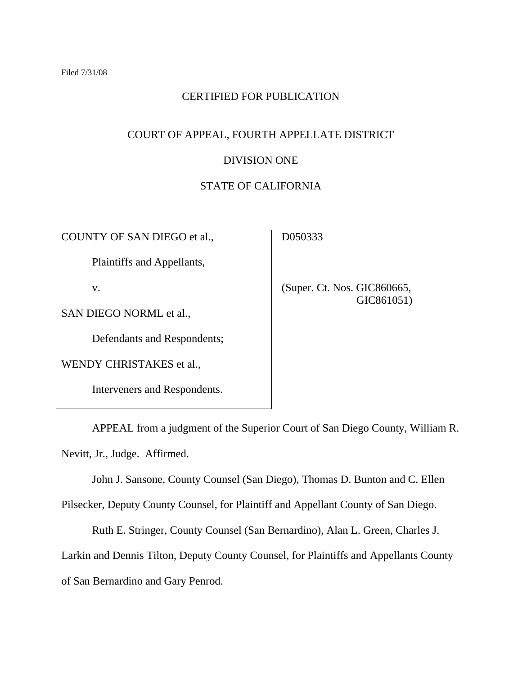# CERTIFIED FOR PUBLICATION

# COURT OF APPEAL, FOURTH APPELLATE DISTRICT

### DIVISION ONE

### STATE OF CALIFORNIA

COUNTY OF SAN DIEGO et al.,

D050333

Plaintiffs and Appellants,

v.

 (Super. Ct. Nos. GIC860665, GIC861051)

SAN DIEGO NORML et al.,

Defendants and Respondents;

WENDY CHRISTAKES et al.,

Interveners and Respondents.

 APPEAL from a judgment of the Superior Court of San Diego County, William R. Nevitt, Jr., Judge. Affirmed.

John J. Sansone, County Counsel (San Diego), Thomas D. Bunton and C. Ellen

Pilsecker, Deputy County Counsel, for Plaintiff and Appellant County of San Diego.

Ruth E. Stringer, County Counsel (San Bernardino), Alan L. Green, Charles J.

Larkin and Dennis Tilton, Deputy County Counsel, for Plaintiffs and Appellants County

of San Bernardino and Gary Penrod.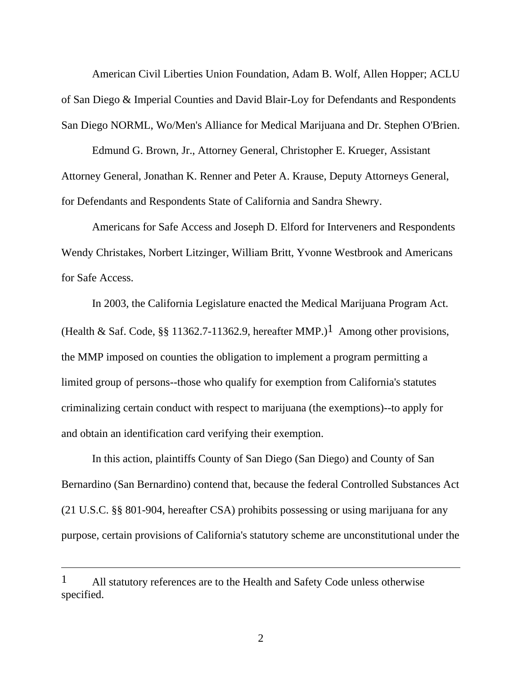American Civil Liberties Union Foundation, Adam B. Wolf, Allen Hopper; ACLU of San Diego & Imperial Counties and David Blair-Loy for Defendants and Respondents San Diego NORML, Wo/Men's Alliance for Medical Marijuana and Dr. Stephen O'Brien.

 Edmund G. Brown, Jr., Attorney General, Christopher E. Krueger, Assistant Attorney General, Jonathan K. Renner and Peter A. Krause, Deputy Attorneys General, for Defendants and Respondents State of California and Sandra Shewry.

 Americans for Safe Access and Joseph D. Elford for Interveners and Respondents Wendy Christakes, Norbert Litzinger, William Britt, Yvonne Westbrook and Americans for Safe Access.

 In 2003, the California Legislature enacted the Medical Marijuana Program Act. (Health & Saf. Code, §§ 11362.7-11362.9, hereafter MMP.)<sup>1</sup> Among other provisions, the MMP imposed on counties the obligation to implement a program permitting a limited group of persons--those who qualify for exemption from California's statutes criminalizing certain conduct with respect to marijuana (the exemptions)--to apply for and obtain an identification card verifying their exemption.

 In this action, plaintiffs County of San Diego (San Diego) and County of San Bernardino (San Bernardino) contend that, because the federal Controlled Substances Act (21 U.S.C. §§ 801-904, hereafter CSA) prohibits possessing or using marijuana for any purpose, certain provisions of California's statutory scheme are unconstitutional under the

<sup>&</sup>lt;sup>1</sup> All statutory references are to the Health and Safety Code unless otherwise specified.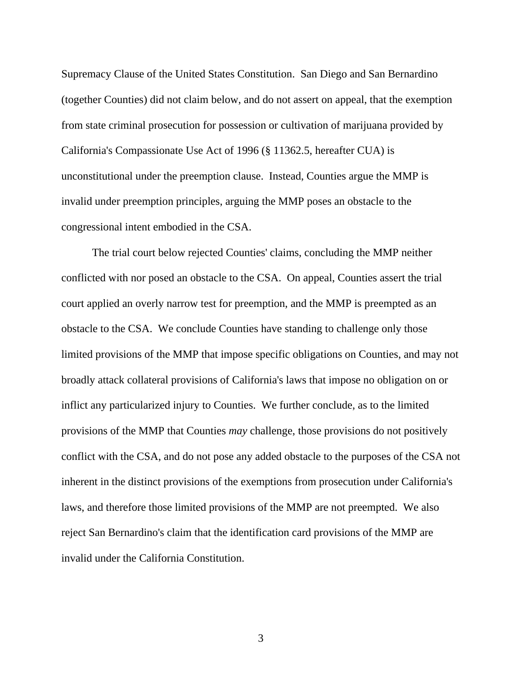Supremacy Clause of the United States Constitution. San Diego and San Bernardino (together Counties) did not claim below, and do not assert on appeal, that the exemption from state criminal prosecution for possession or cultivation of marijuana provided by California's Compassionate Use Act of 1996 (§ 11362.5, hereafter CUA) is unconstitutional under the preemption clause. Instead, Counties argue the MMP is invalid under preemption principles, arguing the MMP poses an obstacle to the congressional intent embodied in the CSA.

 The trial court below rejected Counties' claims, concluding the MMP neither conflicted with nor posed an obstacle to the CSA. On appeal, Counties assert the trial court applied an overly narrow test for preemption, and the MMP is preempted as an obstacle to the CSA. We conclude Counties have standing to challenge only those limited provisions of the MMP that impose specific obligations on Counties, and may not broadly attack collateral provisions of California's laws that impose no obligation on or inflict any particularized injury to Counties. We further conclude, as to the limited provisions of the MMP that Counties *may* challenge, those provisions do not positively conflict with the CSA, and do not pose any added obstacle to the purposes of the CSA not inherent in the distinct provisions of the exemptions from prosecution under California's laws, and therefore those limited provisions of the MMP are not preempted. We also reject San Bernardino's claim that the identification card provisions of the MMP are invalid under the California Constitution.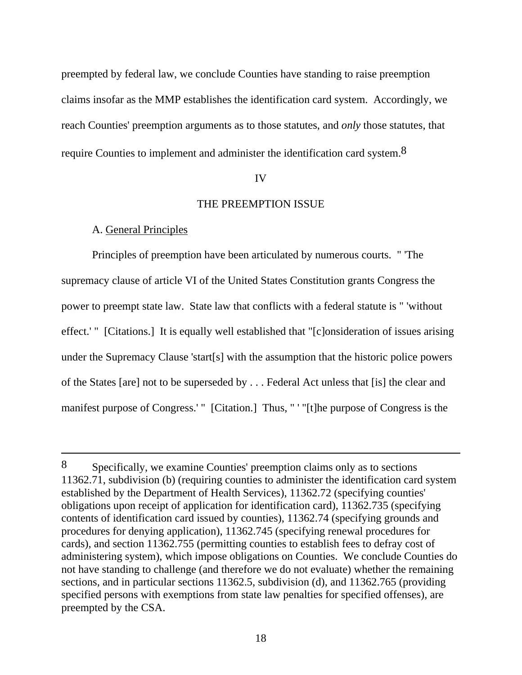preempted by federal law, we conclude Counties have standing to raise preemption claims insofar as the MMP establishes the identification card system. Accordingly, we reach Counties' preemption arguments as to those statutes, and *only* those statutes, that require Counties to implement and administer the identification card system.8

#### IV

#### THE PREEMPTION ISSUE

### A. General Principles

 $\overline{a}$ 

 Principles of preemption have been articulated by numerous courts. " 'The supremacy clause of article VI of the United States Constitution grants Congress the power to preempt state law. State law that conflicts with a federal statute is " 'without effect.' " [Citations.] It is equally well established that "[c]onsideration of issues arising under the Supremacy Clause 'start[s] with the assumption that the historic police powers of the States [are] not to be superseded by . . . Federal Act unless that [is] the clear and manifest purpose of Congress.' " [Citation.] Thus, " '"[t]he purpose of Congress is the

<sup>8</sup> Specifically, we examine Counties' preemption claims only as to sections 11362.71, subdivision (b) (requiring counties to administer the identification card system established by the Department of Health Services), 11362.72 (specifying counties' obligations upon receipt of application for identification card), 11362.735 (specifying contents of identification card issued by counties), 11362.74 (specifying grounds and procedures for denying application), 11362.745 (specifying renewal procedures for cards), and section 11362.755 (permitting counties to establish fees to defray cost of administering system), which impose obligations on Counties. We conclude Counties do not have standing to challenge (and therefore we do not evaluate) whether the remaining sections, and in particular sections 11362.5, subdivision (d), and 11362.765 (providing specified persons with exemptions from state law penalties for specified offenses), are preempted by the CSA.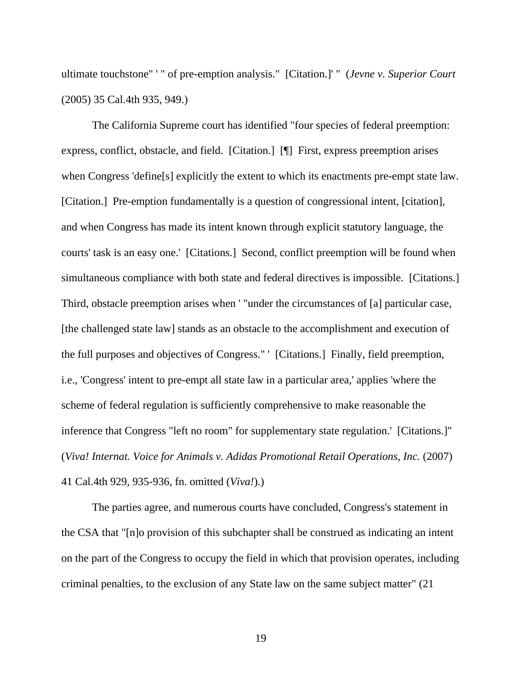ultimate touchstone" ' " of pre-emption analysis." [Citation.]' " (*Jevne v. Superior Court* (2005) 35 Cal.4th 935, 949.)

 The California Supreme court has identified "four species of federal preemption: express, conflict, obstacle, and field. [Citation.] [¶] First, express preemption arises when Congress 'define[s] explicitly the extent to which its enactments pre-empt state law. [Citation.] Pre-emption fundamentally is a question of congressional intent, [citation], and when Congress has made its intent known through explicit statutory language, the courts' task is an easy one.' [Citations.] Second, conflict preemption will be found when simultaneous compliance with both state and federal directives is impossible. [Citations.] Third, obstacle preemption arises when ' "under the circumstances of [a] particular case, [the challenged state law] stands as an obstacle to the accomplishment and execution of the full purposes and objectives of Congress." ' [Citations.] Finally, field preemption, i.e., 'Congress' intent to pre-empt all state law in a particular area,' applies 'where the scheme of federal regulation is sufficiently comprehensive to make reasonable the inference that Congress "left no room" for supplementary state regulation.' [Citations.]" (*Viva! Internat. Voice for Animals v. Adidas Promotional Retail Operations, Inc.* (2007) 41 Cal.4th 929, 935-936, fn. omitted (*Viva!*).)

 The parties agree, and numerous courts have concluded, Congress's statement in the CSA that "[n]o provision of this subchapter shall be construed as indicating an intent on the part of the Congress to occupy the field in which that provision operates, including criminal penalties, to the exclusion of any State law on the same subject matter" (21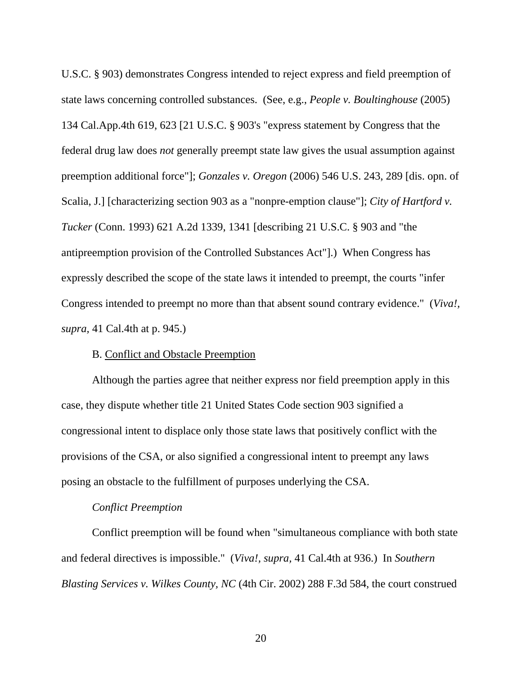U.S.C. § 903) demonstrates Congress intended to reject express and field preemption of state laws concerning controlled substances. (See, e.g., *People v. Boultinghouse* (2005) 134 Cal.App.4th 619, 623 [21 U.S.C. § 903's "express statement by Congress that the federal drug law does *not* generally preempt state law gives the usual assumption against preemption additional force"]; *Gonzales v. Oregon* (2006) 546 U.S. 243, 289 [dis. opn. of Scalia, J.] [characterizing section 903 as a "nonpre-emption clause"]; *City of Hartford v. Tucker* (Conn. 1993) 621 A.2d 1339, 1341 [describing 21 U.S.C. § 903 and "the antipreemption provision of the Controlled Substances Act"].) When Congress has expressly described the scope of the state laws it intended to preempt, the courts "infer Congress intended to preempt no more than that absent sound contrary evidence." (*Viva!, supra,* 41 Cal.4th at p. 945.)

#### B. Conflict and Obstacle Preemption

 Although the parties agree that neither express nor field preemption apply in this case, they dispute whether title 21 United States Code section 903 signified a congressional intent to displace only those state laws that positively conflict with the provisions of the CSA, or also signified a congressional intent to preempt any laws posing an obstacle to the fulfillment of purposes underlying the CSA.

#### *Conflict Preemption*

 Conflict preemption will be found when "simultaneous compliance with both state and federal directives is impossible." (*Viva!, supra,* 41 Cal.4th at 936.) In *Southern Blasting Services v. Wilkes County, NC* (4th Cir. 2002) 288 F.3d 584, the court construed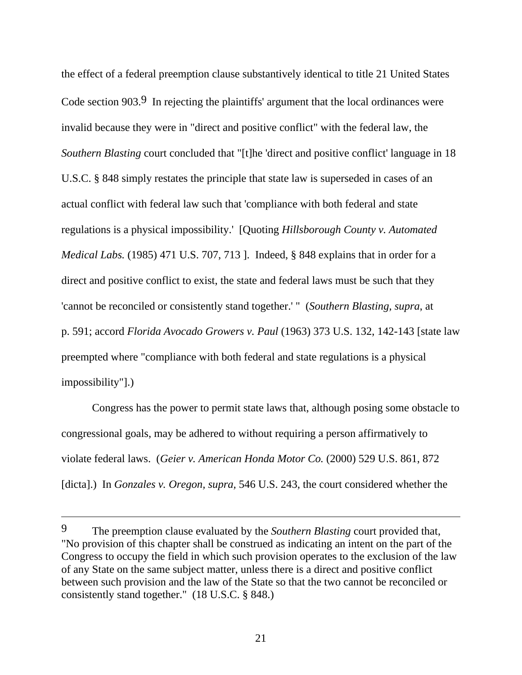the effect of a federal preemption clause substantively identical to title 21 United States Code section 903.<sup>9</sup> In rejecting the plaintiffs' argument that the local ordinances were invalid because they were in "direct and positive conflict" with the federal law, the *Southern Blasting* court concluded that "[t]he 'direct and positive conflict' language in 18 U.S.C. § 848 simply restates the principle that state law is superseded in cases of an actual conflict with federal law such that 'compliance with both federal and state regulations is a physical impossibility.' [Quoting *Hillsborough County v. Automated Medical Labs.* (1985) 471 U.S. 707, 713 ]. Indeed, § 848 explains that in order for a direct and positive conflict to exist, the state and federal laws must be such that they 'cannot be reconciled or consistently stand together.' " (*Southern Blasting, supra*, at p. 591; accord *Florida Avocado Growers v. Paul* (1963) 373 U.S. 132, 142-143 [state law preempted where "compliance with both federal and state regulations is a physical impossibility"].)

 Congress has the power to permit state laws that, although posing some obstacle to congressional goals, may be adhered to without requiring a person affirmatively to violate federal laws. (*Geier v. American Honda Motor Co.* (2000) 529 U.S. 861, 872 [dicta].) In *Gonzales v. Oregon, supra,* 546 U.S. 243, the court considered whether the

<sup>9</sup> The preemption clause evaluated by the *Southern Blasting* court provided that, "No provision of this chapter shall be construed as indicating an intent on the part of the Congress to occupy the field in which such provision operates to the exclusion of the law of any State on the same subject matter, unless there is a direct and positive conflict between such provision and the law of the State so that the two cannot be reconciled or consistently stand together." (18 U.S.C. § 848.)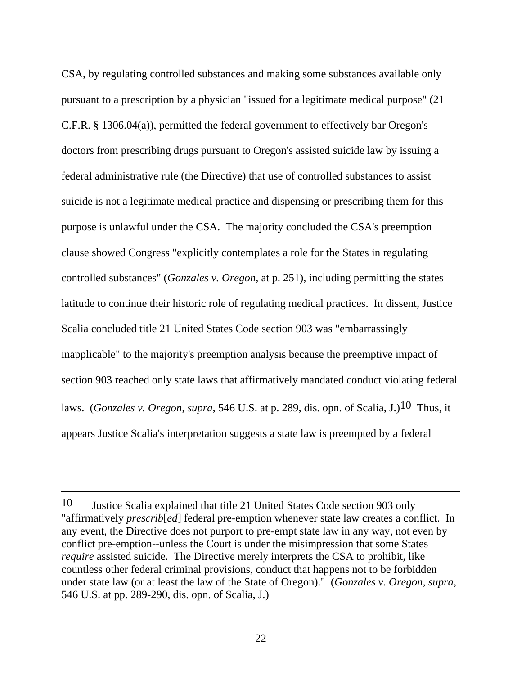CSA, by regulating controlled substances and making some substances available only pursuant to a prescription by a physician "issued for a legitimate medical purpose" (21 C.F.R. § 1306.04(a)), permitted the federal government to effectively bar Oregon's doctors from prescribing drugs pursuant to Oregon's assisted suicide law by issuing a federal administrative rule (the Directive) that use of controlled substances to assist suicide is not a legitimate medical practice and dispensing or prescribing them for this purpose is unlawful under the CSA. The majority concluded the CSA's preemption clause showed Congress "explicitly contemplates a role for the States in regulating controlled substances" (*Gonzales v. Oregon,* at p. 251), including permitting the states latitude to continue their historic role of regulating medical practices. In dissent, Justice Scalia concluded title 21 United States Code section 903 was "embarrassingly inapplicable" to the majority's preemption analysis because the preemptive impact of section 903 reached only state laws that affirmatively mandated conduct violating federal laws. (*Gonzales v. Oregon, supra,* 546 U.S. at p. 289, dis. opn. of Scalia, J.)10 Thus, it appears Justice Scalia's interpretation suggests a state law is preempted by a federal

-

<sup>10</sup> Justice Scalia explained that title 21 United States Code section 903 only "affirmatively *prescrib*[*ed*] federal pre-emption whenever state law creates a conflict. In any event, the Directive does not purport to pre-empt state law in any way, not even by conflict pre-emption--unless the Court is under the misimpression that some States *require* assisted suicide. The Directive merely interprets the CSA to prohibit, like countless other federal criminal provisions, conduct that happens not to be forbidden under state law (or at least the law of the State of Oregon)." (*Gonzales v. Oregon, supra,* 546 U.S. at pp. 289-290, dis. opn. of Scalia, J.)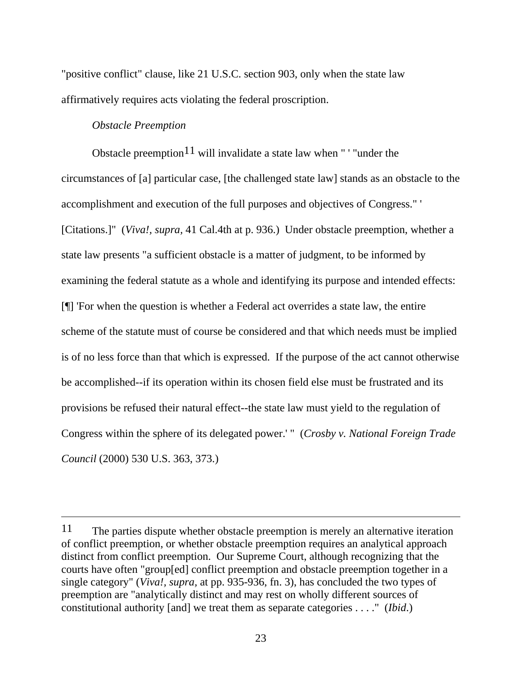"positive conflict" clause, like 21 U.S.C. section 903, only when the state law affirmatively requires acts violating the federal proscription.

# *Obstacle Preemption*

 $\overline{a}$ 

Obstacle preemption<sup>11</sup> will invalidate a state law when " ' "under the circumstances of [a] particular case, [the challenged state law] stands as an obstacle to the accomplishment and execution of the full purposes and objectives of Congress." ' [Citations.]" (*Viva!, supra,* 41 Cal.4th at p. 936.) Under obstacle preemption, whether a state law presents "a sufficient obstacle is a matter of judgment, to be informed by examining the federal statute as a whole and identifying its purpose and intended effects: [¶] 'For when the question is whether a Federal act overrides a state law, the entire scheme of the statute must of course be considered and that which needs must be implied is of no less force than that which is expressed. If the purpose of the act cannot otherwise be accomplished--if its operation within its chosen field else must be frustrated and its provisions be refused their natural effect--the state law must yield to the regulation of Congress within the sphere of its delegated power.' " (*Crosby v. National Foreign Trade Council* (2000) 530 U.S. 363, 373.)

<sup>11</sup> The parties dispute whether obstacle preemption is merely an alternative iteration of conflict preemption, or whether obstacle preemption requires an analytical approach distinct from conflict preemption. Our Supreme Court, although recognizing that the courts have often "group[ed] conflict preemption and obstacle preemption together in a single category" (*Viva!, supra,* at pp. 935-936, fn. 3), has concluded the two types of preemption are "analytically distinct and may rest on wholly different sources of constitutional authority [and] we treat them as separate categories . . . ." (*Ibid*.)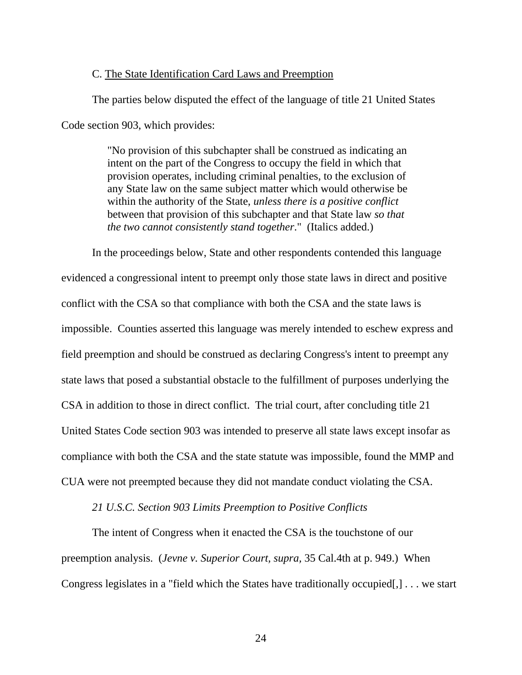#### C. The State Identification Card Laws and Preemption

The parties below disputed the effect of the language of title 21 United States

Code section 903, which provides:

"No provision of this subchapter shall be construed as indicating an intent on the part of the Congress to occupy the field in which that provision operates, including criminal penalties, to the exclusion of any State law on the same subject matter which would otherwise be within the authority of the State, *unless there is a positive conflict* between that provision of this subchapter and that State law *so that the two cannot consistently stand together*." (Italics added.)

 In the proceedings below, State and other respondents contended this language evidenced a congressional intent to preempt only those state laws in direct and positive conflict with the CSA so that compliance with both the CSA and the state laws is impossible. Counties asserted this language was merely intended to eschew express and field preemption and should be construed as declaring Congress's intent to preempt any state laws that posed a substantial obstacle to the fulfillment of purposes underlying the CSA in addition to those in direct conflict. The trial court, after concluding title 21 United States Code section 903 was intended to preserve all state laws except insofar as compliance with both the CSA and the state statute was impossible, found the MMP and CUA were not preempted because they did not mandate conduct violating the CSA.

#### *21 U.S.C. Section 903 Limits Preemption to Positive Conflicts*

 The intent of Congress when it enacted the CSA is the touchstone of our preemption analysis. (*Jevne v. Superior Court, supra,* 35 Cal.4th at p. 949.) When Congress legislates in a "field which the States have traditionally occupied[,] . . . we start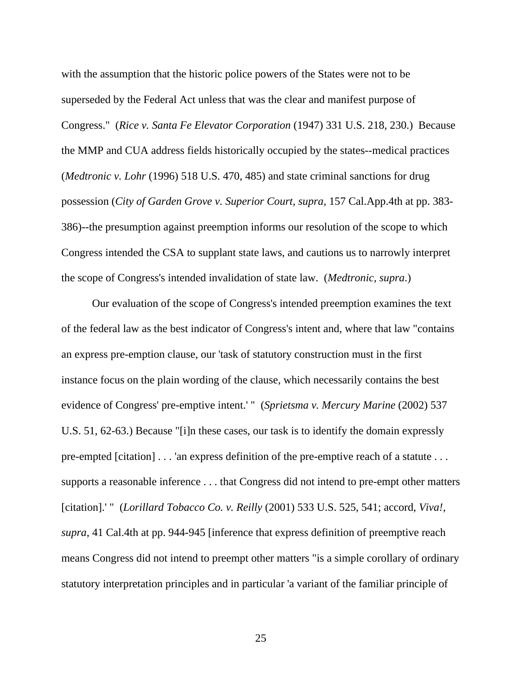with the assumption that the historic police powers of the States were not to be superseded by the Federal Act unless that was the clear and manifest purpose of Congress." (*Rice v. Santa Fe Elevator Corporation* (1947) 331 U.S. 218, 230.) Because the MMP and CUA address fields historically occupied by the states--medical practices (*Medtronic v. Lohr* (1996) 518 U.S. 470, 485) and state criminal sanctions for drug possession (*City of Garden Grove v. Superior Court, supra,* 157 Cal.App.4th at pp. 383- 386)--the presumption against preemption informs our resolution of the scope to which Congress intended the CSA to supplant state laws, and cautions us to narrowly interpret the scope of Congress's intended invalidation of state law. (*Medtronic, supra*.)

 Our evaluation of the scope of Congress's intended preemption examines the text of the federal law as the best indicator of Congress's intent and, where that law "contains an express pre-emption clause, our 'task of statutory construction must in the first instance focus on the plain wording of the clause, which necessarily contains the best evidence of Congress' pre-emptive intent.' " (*Sprietsma v. Mercury Marine* (2002) 537 U.S. 51, 62-63.) Because "[i]n these cases, our task is to identify the domain expressly pre-empted [citation] . . . 'an express definition of the pre-emptive reach of a statute . . . supports a reasonable inference . . . that Congress did not intend to pre-empt other matters [citation].' " (*Lorillard Tobacco Co. v. Reilly* (2001) 533 U.S. 525, 541; accord, *Viva!, supra*, 41 Cal.4th at pp. 944-945 [inference that express definition of preemptive reach means Congress did not intend to preempt other matters "is a simple corollary of ordinary statutory interpretation principles and in particular 'a variant of the familiar principle of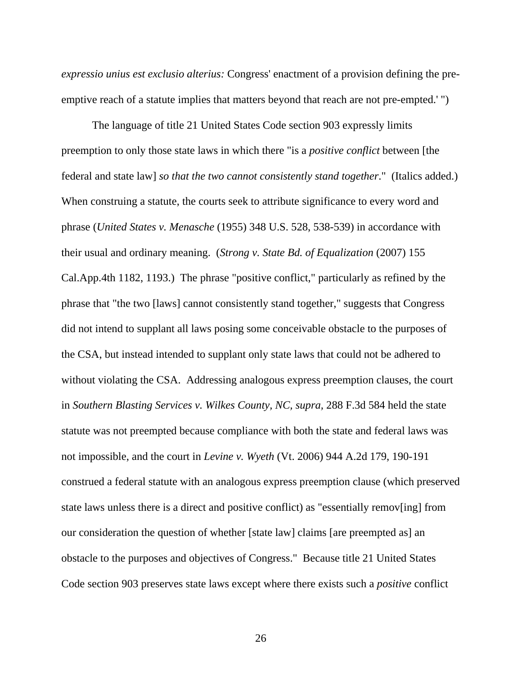*expressio unius est exclusio alterius:* Congress' enactment of a provision defining the preemptive reach of a statute implies that matters beyond that reach are not pre-empted.' ")

 The language of title 21 United States Code section 903 expressly limits preemption to only those state laws in which there "is a *positive conflict* between [the federal and state law] *so that the two cannot consistently stand together*." (Italics added.) When construing a statute, the courts seek to attribute significance to every word and phrase (*United States v. Menasche* (1955) 348 U.S. 528, 538-539) in accordance with their usual and ordinary meaning. (*Strong v. State Bd. of Equalization* (2007) 155 Cal.App.4th 1182, 1193.) The phrase "positive conflict," particularly as refined by the phrase that "the two [laws] cannot consistently stand together," suggests that Congress did not intend to supplant all laws posing some conceivable obstacle to the purposes of the CSA, but instead intended to supplant only state laws that could not be adhered to without violating the CSA. Addressing analogous express preemption clauses, the court in *Southern Blasting Services v. Wilkes County, NC, supra,* 288 F.3d 584 held the state statute was not preempted because compliance with both the state and federal laws was not impossible, and the court in *Levine v. Wyeth* (Vt. 2006) 944 A.2d 179, 190-191 construed a federal statute with an analogous express preemption clause (which preserved state laws unless there is a direct and positive conflict) as "essentially remov[ing] from our consideration the question of whether [state law] claims [are preempted as] an obstacle to the purposes and objectives of Congress." Because title 21 United States Code section 903 preserves state laws except where there exists such a *positive* conflict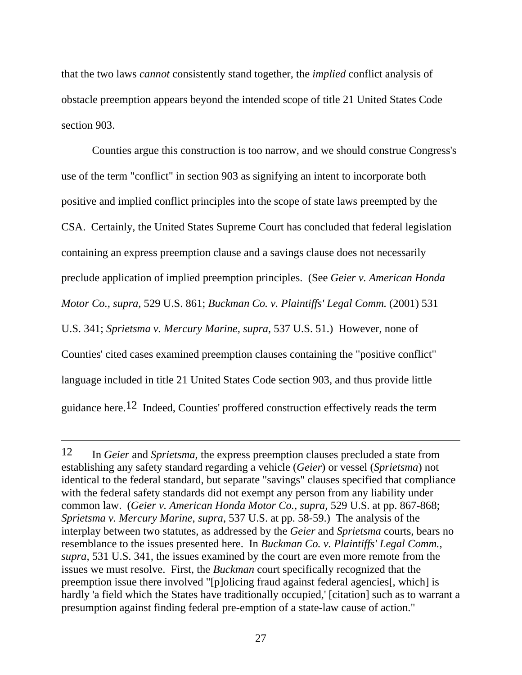that the two laws *cannot* consistently stand together, the *implied* conflict analysis of obstacle preemption appears beyond the intended scope of title 21 United States Code section 903.

 Counties argue this construction is too narrow, and we should construe Congress's use of the term "conflict" in section 903 as signifying an intent to incorporate both positive and implied conflict principles into the scope of state laws preempted by the CSA. Certainly, the United States Supreme Court has concluded that federal legislation containing an express preemption clause and a savings clause does not necessarily preclude application of implied preemption principles. (See *Geier v. American Honda Motor Co., supra,* 529 U.S. 861; *Buckman Co. v. Plaintiffs' Legal Comm.* (2001) 531 U.S. 341; *Sprietsma v. Mercury Marine, supra,* 537 U.S. 51.) However, none of Counties' cited cases examined preemption clauses containing the "positive conflict" language included in title 21 United States Code section 903, and thus provide little guidance here.12 Indeed, Counties' proffered construction effectively reads the term

-

<sup>12</sup> In *Geier* and *Sprietsma*, the express preemption clauses precluded a state from establishing any safety standard regarding a vehicle (*Geier*) or vessel (*Sprietsma*) not identical to the federal standard, but separate "savings" clauses specified that compliance with the federal safety standards did not exempt any person from any liability under common law. (*Geier v. American Honda Motor Co., supra,* 529 U.S. at pp. 867-868; *Sprietsma v. Mercury Marine*, *supra*, 537 U.S. at pp. 58-59.) The analysis of the interplay between two statutes, as addressed by the *Geier* and *Sprietsma* courts, bears no resemblance to the issues presented here. In *Buckman Co. v. Plaintiffs' Legal Comm., supra,* 531 U.S. 341*,* the issues examined by the court are even more remote from the issues we must resolve. First, the *Buckman* court specifically recognized that the preemption issue there involved "[p]olicing fraud against federal agencies[, which] is hardly 'a field which the States have traditionally occupied,' [citation] such as to warrant a presumption against finding federal pre-emption of a state-law cause of action."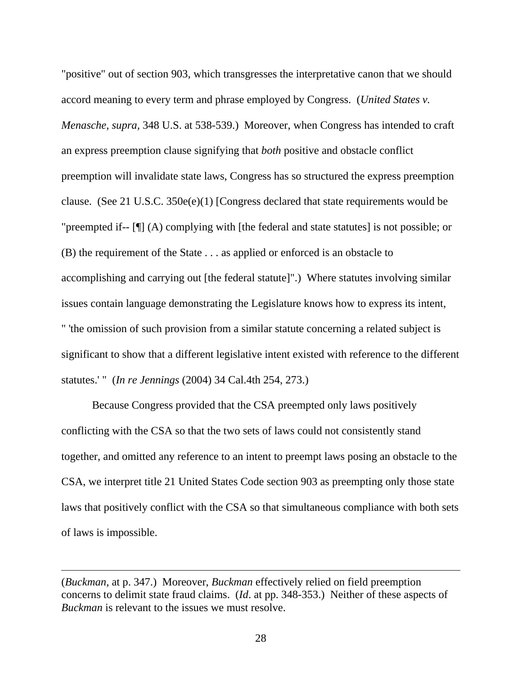"positive" out of section 903, which transgresses the interpretative canon that we should accord meaning to every term and phrase employed by Congress. (*United States v. Menasche, supra,* 348 U.S. at 538-539.) Moreover, when Congress has intended to craft an express preemption clause signifying that *both* positive and obstacle conflict preemption will invalidate state laws, Congress has so structured the express preemption clause. (See 21 U.S.C. 350e(e)(1) [Congress declared that state requirements would be "preempted if-- [¶] (A) complying with [the federal and state statutes] is not possible; or (B) the requirement of the State . . . as applied or enforced is an obstacle to accomplishing and carrying out [the federal statute]".) Where statutes involving similar issues contain language demonstrating the Legislature knows how to express its intent, " 'the omission of such provision from a similar statute concerning a related subject is significant to show that a different legislative intent existed with reference to the different statutes.' " (*In re Jennings* (2004) 34 Cal.4th 254, 273.)

 Because Congress provided that the CSA preempted only laws positively conflicting with the CSA so that the two sets of laws could not consistently stand together, and omitted any reference to an intent to preempt laws posing an obstacle to the CSA, we interpret title 21 United States Code section 903 as preempting only those state laws that positively conflict with the CSA so that simultaneous compliance with both sets of laws is impossible.

<sup>(</sup>*Buckman,* at p. 347.) Moreover, *Buckman* effectively relied on field preemption concerns to delimit state fraud claims. (*Id*. at pp. 348-353.) Neither of these aspects of *Buckman* is relevant to the issues we must resolve.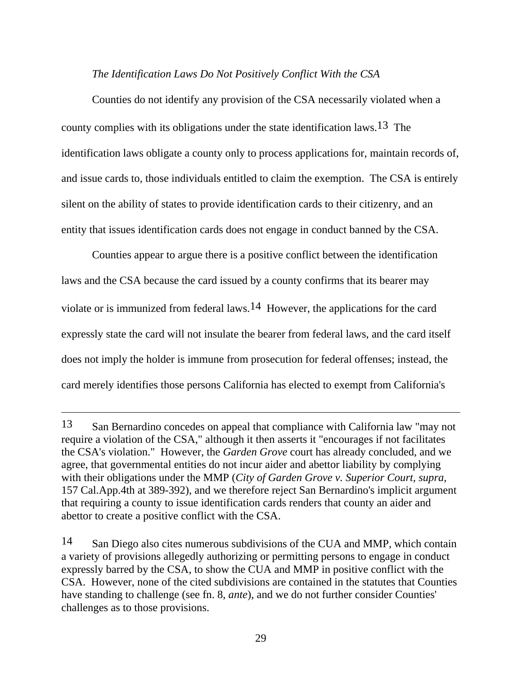### *The Identification Laws Do Not Positively Conflict With the CSA*

 Counties do not identify any provision of the CSA necessarily violated when a county complies with its obligations under the state identification laws.<sup>13</sup> The identification laws obligate a county only to process applications for, maintain records of, and issue cards to, those individuals entitled to claim the exemption. The CSA is entirely silent on the ability of states to provide identification cards to their citizenry, and an entity that issues identification cards does not engage in conduct banned by the CSA.

 Counties appear to argue there is a positive conflict between the identification laws and the CSA because the card issued by a county confirms that its bearer may violate or is immunized from federal laws.14 However, the applications for the card expressly state the card will not insulate the bearer from federal laws, and the card itself does not imply the holder is immune from prosecution for federal offenses; instead, the card merely identifies those persons California has elected to exempt from California's

<sup>13</sup> San Bernardino concedes on appeal that compliance with California law "may not require a violation of the CSA," although it then asserts it "encourages if not facilitates the CSA's violation." However, the *Garden Grove* court has already concluded, and we agree, that governmental entities do not incur aider and abettor liability by complying with their obligations under the MMP (*City of Garden Grove v. Superior Court, supra,* 157 Cal.App.4th at 389-392), and we therefore reject San Bernardino's implicit argument that requiring a county to issue identification cards renders that county an aider and abettor to create a positive conflict with the CSA.

<sup>14</sup> San Diego also cites numerous subdivisions of the CUA and MMP, which contain a variety of provisions allegedly authorizing or permitting persons to engage in conduct expressly barred by the CSA, to show the CUA and MMP in positive conflict with the CSA. However, none of the cited subdivisions are contained in the statutes that Counties have standing to challenge (see fn. 8, *ante*), and we do not further consider Counties' challenges as to those provisions.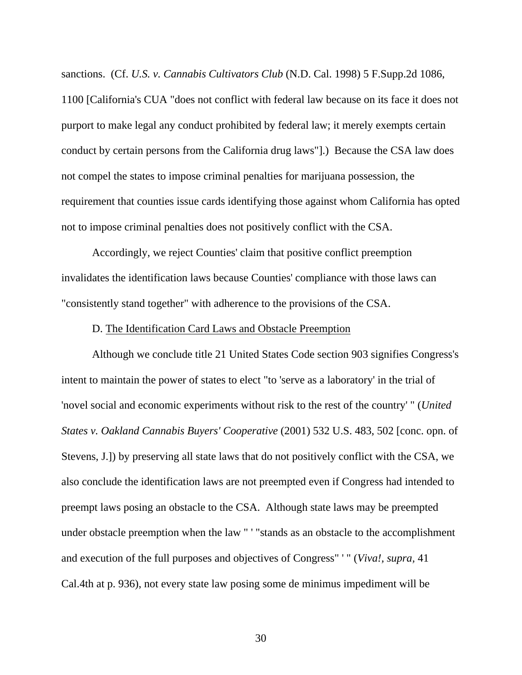sanctions. (Cf. *U.S. v. Cannabis Cultivators Club* (N.D. Cal. 1998) 5 F.Supp.2d 1086, 1100 [California's CUA "does not conflict with federal law because on its face it does not purport to make legal any conduct prohibited by federal law; it merely exempts certain conduct by certain persons from the California drug laws"].) Because the CSA law does not compel the states to impose criminal penalties for marijuana possession, the requirement that counties issue cards identifying those against whom California has opted not to impose criminal penalties does not positively conflict with the CSA.

 Accordingly, we reject Counties' claim that positive conflict preemption invalidates the identification laws because Counties' compliance with those laws can "consistently stand together" with adherence to the provisions of the CSA.

#### D. The Identification Card Laws and Obstacle Preemption

 Although we conclude title 21 United States Code section 903 signifies Congress's intent to maintain the power of states to elect "to 'serve as a laboratory' in the trial of 'novel social and economic experiments without risk to the rest of the country' " (*United States v. Oakland Cannabis Buyers' Cooperative* (2001) 532 U.S. 483, 502 [conc. opn. of Stevens, J.]) by preserving all state laws that do not positively conflict with the CSA, we also conclude the identification laws are not preempted even if Congress had intended to preempt laws posing an obstacle to the CSA. Although state laws may be preempted under obstacle preemption when the law " ' "stands as an obstacle to the accomplishment and execution of the full purposes and objectives of Congress" ' " (*Viva!, supra,* 41 Cal.4th at p. 936), not every state law posing some de minimus impediment will be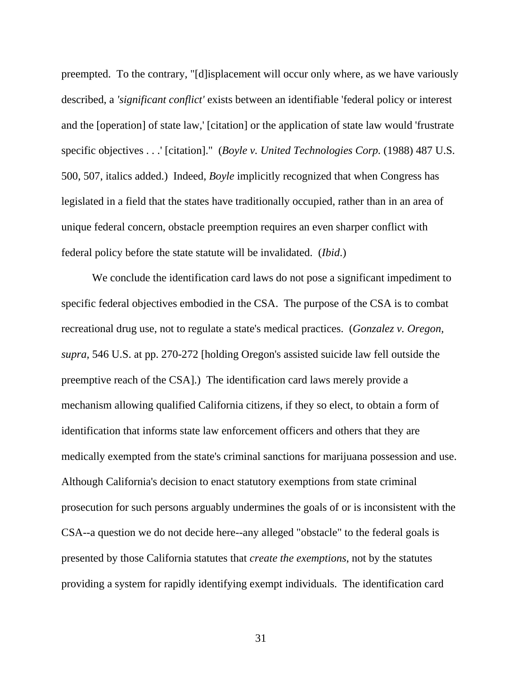preempted. To the contrary, "[d]isplacement will occur only where, as we have variously described, a *'significant conflict'* exists between an identifiable 'federal policy or interest and the [operation] of state law,' [citation] or the application of state law would 'frustrate specific objectives . . .' [citation]." (*Boyle v. United Technologies Corp.* (1988) 487 U.S. 500, 507, italics added.) Indeed, *Boyle* implicitly recognized that when Congress has legislated in a field that the states have traditionally occupied, rather than in an area of unique federal concern, obstacle preemption requires an even sharper conflict with federal policy before the state statute will be invalidated. (*Ibid*.)

 We conclude the identification card laws do not pose a significant impediment to specific federal objectives embodied in the CSA. The purpose of the CSA is to combat recreational drug use, not to regulate a state's medical practices. (*Gonzalez v. Oregon, supra,* 546 U.S. at pp. 270-272 [holding Oregon's assisted suicide law fell outside the preemptive reach of the CSA].) The identification card laws merely provide a mechanism allowing qualified California citizens, if they so elect, to obtain a form of identification that informs state law enforcement officers and others that they are medically exempted from the state's criminal sanctions for marijuana possession and use. Although California's decision to enact statutory exemptions from state criminal prosecution for such persons arguably undermines the goals of or is inconsistent with the CSA--a question we do not decide here--any alleged "obstacle" to the federal goals is presented by those California statutes that *create the exemptions*, not by the statutes providing a system for rapidly identifying exempt individuals. The identification card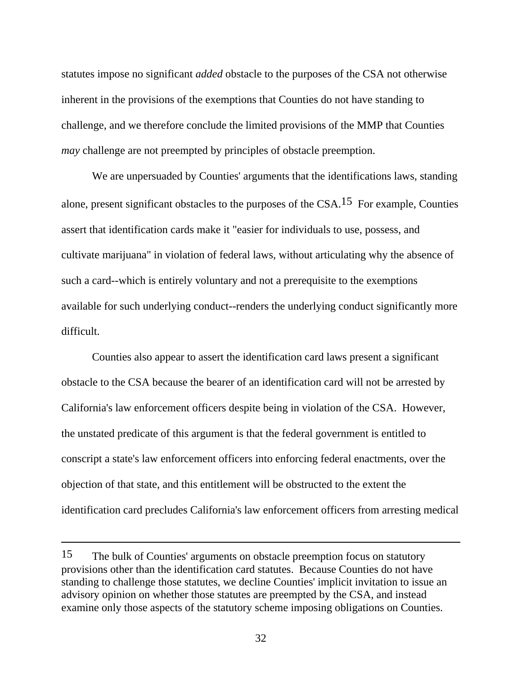statutes impose no significant *added* obstacle to the purposes of the CSA not otherwise inherent in the provisions of the exemptions that Counties do not have standing to challenge, and we therefore conclude the limited provisions of the MMP that Counties *may* challenge are not preempted by principles of obstacle preemption.

 We are unpersuaded by Counties' arguments that the identifications laws, standing alone, present significant obstacles to the purposes of the  $CSA<sup>15</sup>$  For example, Counties assert that identification cards make it "easier for individuals to use, possess, and cultivate marijuana" in violation of federal laws, without articulating why the absence of such a card--which is entirely voluntary and not a prerequisite to the exemptions available for such underlying conduct--renders the underlying conduct significantly more difficult.

 Counties also appear to assert the identification card laws present a significant obstacle to the CSA because the bearer of an identification card will not be arrested by California's law enforcement officers despite being in violation of the CSA. However, the unstated predicate of this argument is that the federal government is entitled to conscript a state's law enforcement officers into enforcing federal enactments, over the objection of that state, and this entitlement will be obstructed to the extent the identification card precludes California's law enforcement officers from arresting medical

<sup>15</sup> The bulk of Counties' arguments on obstacle preemption focus on statutory provisions other than the identification card statutes. Because Counties do not have standing to challenge those statutes, we decline Counties' implicit invitation to issue an advisory opinion on whether those statutes are preempted by the CSA, and instead examine only those aspects of the statutory scheme imposing obligations on Counties.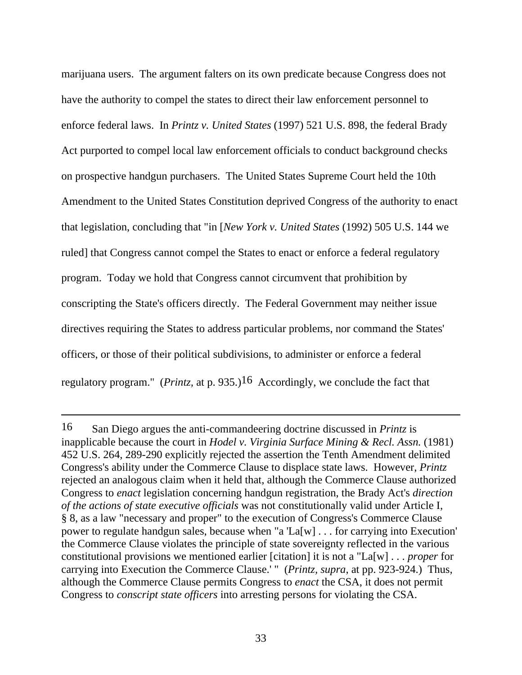marijuana users. The argument falters on its own predicate because Congress does not have the authority to compel the states to direct their law enforcement personnel to enforce federal laws. In *Printz v. United States* (1997) 521 U.S. 898, the federal Brady Act purported to compel local law enforcement officials to conduct background checks on prospective handgun purchasers. The United States Supreme Court held the 10th Amendment to the United States Constitution deprived Congress of the authority to enact that legislation, concluding that "in [*New York v. United States* (1992) 505 U.S. 144 we ruled] that Congress cannot compel the States to enact or enforce a federal regulatory program. Today we hold that Congress cannot circumvent that prohibition by conscripting the State's officers directly. The Federal Government may neither issue directives requiring the States to address particular problems, nor command the States' officers, or those of their political subdivisions, to administer or enforce a federal regulatory program." (*Printz,* at p. 935.)16 Accordingly, we conclude the fact that

<sup>16</sup> San Diego argues the anti-commandeering doctrine discussed in *Printz* is inapplicable because the court in *Hodel v. Virginia Surface Mining & Recl. Assn.* (1981) 452 U.S. 264, 289-290 explicitly rejected the assertion the Tenth Amendment delimited Congress's ability under the Commerce Clause to displace state laws. However, *Printz* rejected an analogous claim when it held that, although the Commerce Clause authorized Congress to *enact* legislation concerning handgun registration, the Brady Act's *direction of the actions of state executive officials* was not constitutionally valid under Article I, § 8, as a law "necessary and proper" to the execution of Congress's Commerce Clause power to regulate handgun sales, because when "a 'La[w] . . . for carrying into Execution' the Commerce Clause violates the principle of state sovereignty reflected in the various constitutional provisions we mentioned earlier [citation] it is not a "La[w] . . . *proper* for carrying into Execution the Commerce Clause.' " (*Printz, supra*, at pp. 923-924.) Thus, although the Commerce Clause permits Congress to *enact* the CSA, it does not permit Congress to *conscript state officers* into arresting persons for violating the CSA.